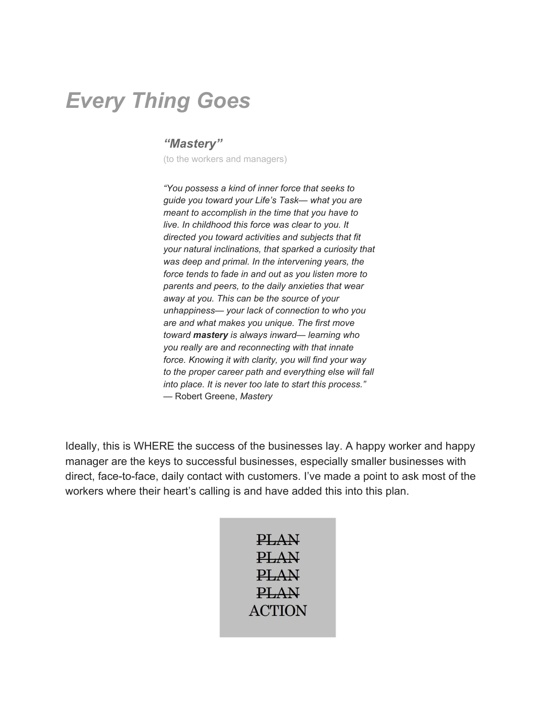## *Every Thing Goes*

#### *"Mastery"*

(to the workers and managers)

*"You possess a kind of inner force that seeks to guide you toward your Life's Task— what you are meant to accomplish in the time that you have to live. In childhood this force was clear to you. It directed you toward activities and subjects that fit your natural inclinations, that sparked a curiosity that was deep and primal. In the intervening years, the force tends to fade in and out as you listen more to parents and peers, to the daily anxieties that wear away at you. This can be the source of your unhappiness— your lack of connection to who you are and what makes you unique. The first move toward mastery is always inward— learning who you really are and reconnecting with that innate force. Knowing it with clarity, you will find your way to the proper career path and everything else will fall into place. It is never too late to start this process."* — Robert Greene, *Mastery*

Ideally, this is WHERE the success of the businesses lay. A happy worker and happy manager are the keys to successful businesses, especially smaller businesses with direct, face-to-face, daily contact with customers. I've made a point to ask most of the workers where their heart's calling is and have added this into this plan.

| PLAN          |
|---------------|
| PLAN          |
| PLAN          |
| PLAN          |
| <b>ACTION</b> |
|               |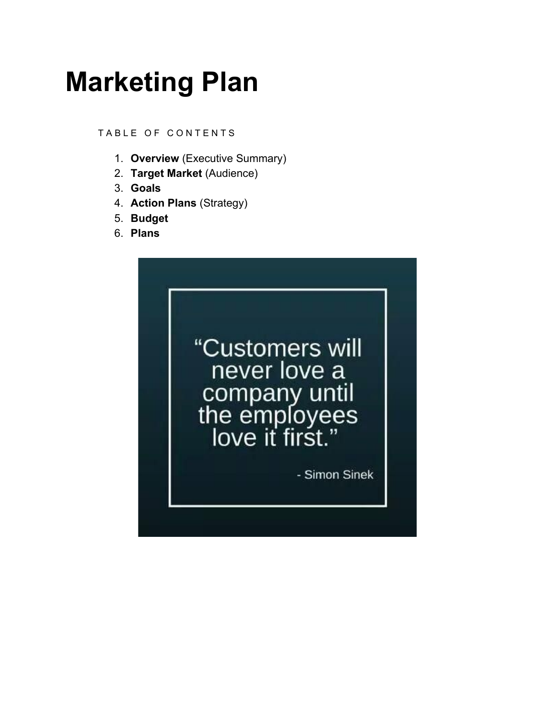## **Marketing Plan**

TABLE OF CONTENTS

- 1. **Overview** (Executive Summary)
- 2. **Target Market** (Audience)
- 3. **Goals**
- 4. **Action Plans** (Strategy)
- 5. **Budget**
- 6. **Plans**

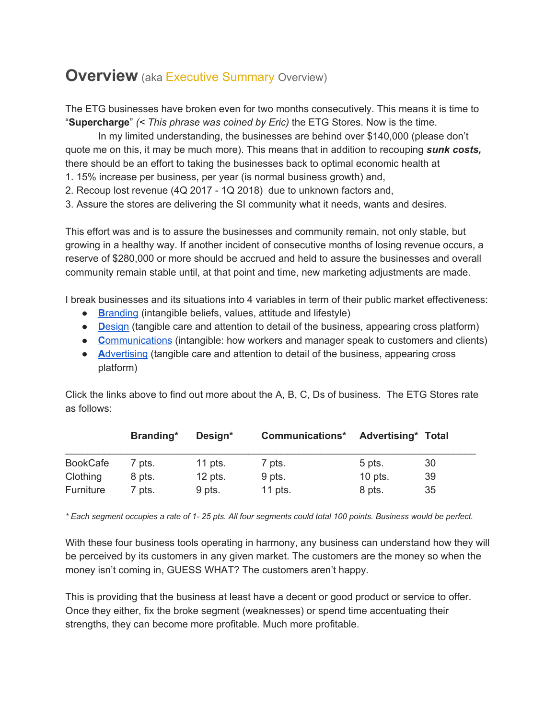## **Overview** (aka Executive Summary Overview)

The ETG businesses have broken even for two months consecutively. This means it is time to "**Supercharge**" *(< This phrase was coined by Eric)* the ETG Stores. Now is the time.

In my limited understanding, the businesses are behind over \$140,000 (please don't quote me on this, it may be much more). This means that in addition to recouping *sunk costs,* there should be an effort to taking the businesses back to optimal economic health at

1. 15% increase per business, per year (is normal business growth) and,

2. Recoup lost revenue (4Q 2017 - 1Q 2018) due to unknown factors and,

3. Assure the stores are delivering the SI community what it needs, wants and desires.

This effort was and is to assure the businesses and community remain, not only stable, but growing in a healthy way. If another incident of consecutive months of losing revenue occurs, a reserve of \$280,000 or more should be accrued and held to assure the businesses and overall community remain stable until, at that point and time, new marketing adjustments are made.

I break businesses and its situations into 4 variables in term of their public market effectiveness:

- **[B](https://binknyc.com/whats-a-brand/)[randing](https://binknyc.com/whats-a-brand/) (intangible beliefs, values, attitude and lifestyle)**
- **[D](https://binknyc.com/design/)**[esign](https://binknyc.com/design/) (tangible care and attention to detail of the business, appearing cross platform)
- **[C](https://binknyc.com/2016/12/19/statistics/)**[ommunications](https://binknyc.com/2016/12/19/statistics/) (intangible: how workers and manager speak to customers and clients)
- **[A](https://binknyc.com/advertising/)[dvertising](https://binknyc.com/advertising/) (tangible care and attention to detail of the business, appearing cross** platform)

Click the links above to find out more about the A, B, C, Ds of business. The ETG Stores rate as follows:

|                 | Branding*         | Design*   | <b>Communications*</b> | <b>Advertising* Total</b> |    |
|-----------------|-------------------|-----------|------------------------|---------------------------|----|
| <b>BookCafe</b> | 7 pts.            | 11 pts.   | 7 pts.                 | 5 pts.                    | 30 |
| Clothing        | 8 pts.            | $12$ pts. | 9 pts.                 | $10$ pts.                 | 39 |
| Furniture       | <sup>7</sup> pts. | 9 pts.    | 11 pts.                | 8 pts.                    | 35 |

*\* Each segment occupies a rate of 1- 25 pts. All four segments could total 100 points. Business would be perfect.*

With these four business tools operating in harmony, any business can understand how they will be perceived by its customers in any given market. The customers are the money so when the money isn't coming in, GUESS WHAT? The customers aren't happy.

This is providing that the business at least have a decent or good product or service to offer. Once they either, fix the broke segment (weaknesses) or spend time accentuating their strengths, they can become more profitable. Much more profitable.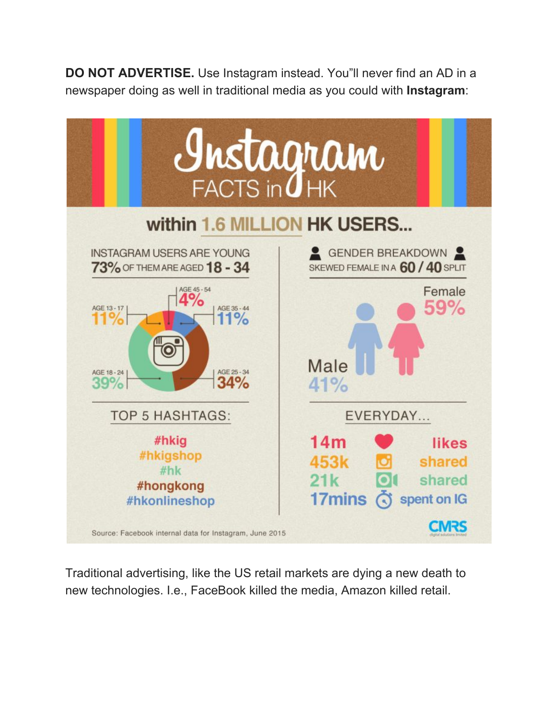**DO NOT ADVERTISE.** Use Instagram instead. You"ll never find an AD in a newspaper doing as well in traditional media as you could with **Instagram**:



Traditional advertising, like the US retail markets are dying a new death to new technologies. I.e., FaceBook killed the media, Amazon killed retail.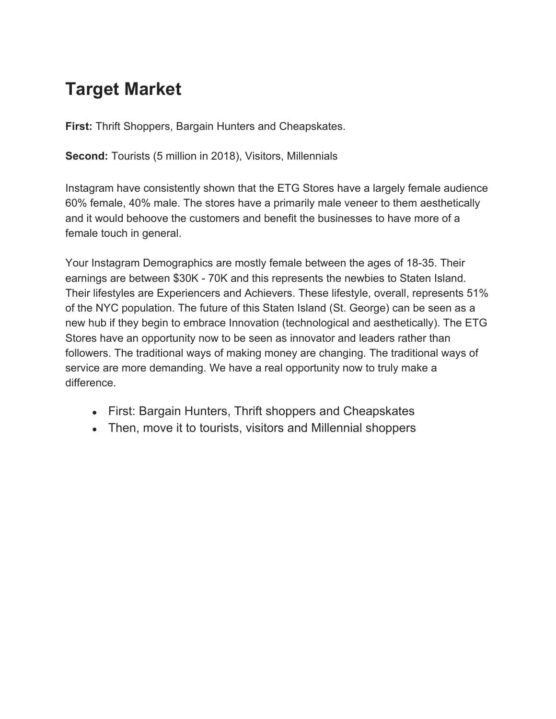## **Target Market**

**First:** Thrift Shoppers, Bargain Hunters and Cheapskates.

**Second:** Tourists (5 million in 2018), Visitors, Millennials

Instagram have consistently shown that the ETG Stores have a largely female audience 60% female, 40% male. The stores have a primarily male veneer to them aesthetically and it would behoove the customers and benefit the businesses to have more of a female touch in general.

Your Instagram Demographics are mostly female between the ages of 18-35. Their earnings are between \$30K - 70K and this represents the newbies to Staten Island. Their lifestyles are Experiencers and Achievers. These lifestyle, overall, represents 51% of the NYC population. The future of this Staten Island (St. George) can be seen as a new hub if they begin to embrace Innovation (technological and aesthetically). The ETG Stores have an opportunity now to be seen as innovator and leaders rather than followers. The traditional ways of making money are changing. The traditional ways of service are more demanding. We have a real opportunity now to truly make a difference.

- First: Bargain Hunters, Thrift shoppers and Cheapskates
- Then, move it to tourists, visitors and Millennial shoppers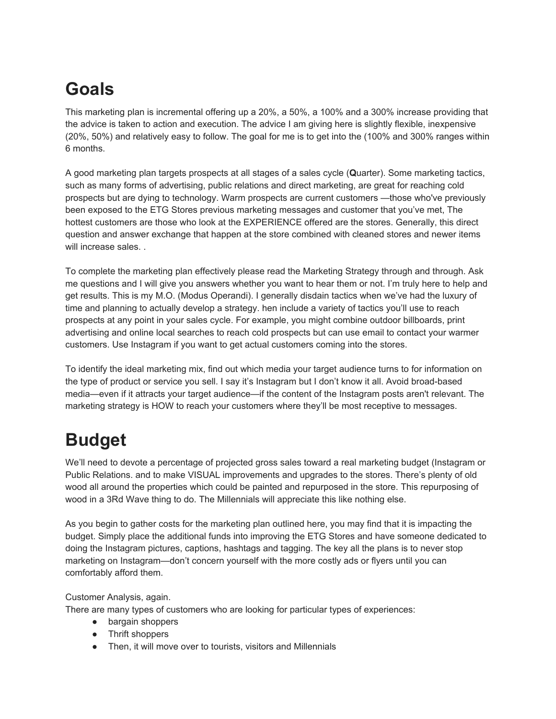## **Goals**

This marketing plan is incremental offering up a 20%, a 50%, a 100% and a 300% increase providing that the advice is taken to action and execution. The advice I am giving here is slightly flexible, inexpensive (20%, 50%) and relatively easy to follow. The goal for me is to get into the (100% and 300% ranges within 6 months.

A good marketing plan targets prospects at all stages of a sales cycle (**Q**uarter). Some marketing tactics, such as many forms of advertising, public relations and direct marketing, are great for reaching cold prospects but are dying to technology. Warm prospects are current customers —those who've previously been exposed to the ETG Stores previous marketing messages and customer that you've met, The hottest customers are those who look at the EXPERIENCE offered are the stores. Generally, this direct question and answer exchange that happen at the store combined with cleaned stores and newer items will increase sales.

To complete the marketing plan effectively please read the Marketing Strategy through and through. Ask me questions and I will give you answers whether you want to hear them or not. I'm truly here to help and get results. This is my M.O. (Modus Operandi). I generally disdain tactics when we've had the luxury of time and planning to actually develop a strategy. hen include a variety of tactics you'll use to reach prospects at any point in your sales cycle. For example, you might combine outdoor billboards, print advertising and online local searches to reach cold prospects but can use email to contact your warmer customers. Use Instagram if you want to get actual customers coming into the stores.

To identify the ideal marketing mix, find out which media your target audience turns to for information on the type of product or service you sell. I say it's Instagram but I don't know it all. Avoid broad-based media—even if it attracts your target audience—if the content of the Instagram posts aren't relevant. The marketing strategy is HOW to reach your customers where they'll be most receptive to messages.

## **Budget**

We'll need to devote a percentage of projected gross sales toward a real marketing budget (Instagram or Public Relations. and to make VISUAL improvements and upgrades to the stores. There's plenty of old wood all around the properties which could be painted and repurposed in the store. This repurposing of wood in a 3Rd Wave thing to do. The Millennials will appreciate this like nothing else.

As you begin to gather costs for the marketing plan outlined here, you may find that it is impacting the budget. Simply place the additional funds into improving the ETG Stores and have someone dedicated to doing the Instagram pictures, captions, hashtags and tagging. The key all the plans is to never stop marketing on Instagram—don't concern yourself with the more costly ads or flyers until you can comfortably afford them.

#### Customer Analysis, again.

There are many types of customers who are looking for particular types of experiences:

- bargain shoppers
- Thrift shoppers
- Then, it will move over to tourists, visitors and Millennials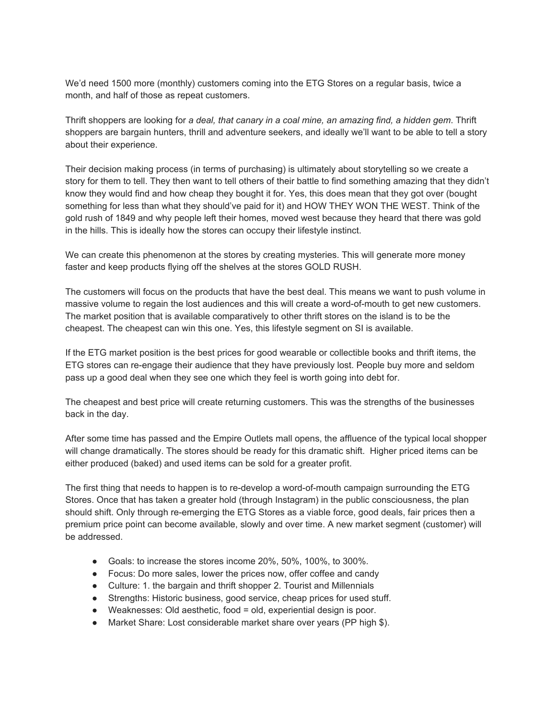We'd need 1500 more (monthly) customers coming into the ETG Stores on a regular basis, twice a month, and half of those as repeat customers.

Thrift shoppers are looking for *a deal, that canary in a coal mine, an amazing find, a hidden gem*. Thrift shoppers are bargain hunters, thrill and adventure seekers, and ideally we'll want to be able to tell a story about their experience.

Their decision making process (in terms of purchasing) is ultimately about storytelling so we create a story for them to tell. They then want to tell others of their battle to find something amazing that they didn't know they would find and how cheap they bought it for. Yes, this does mean that they got over (bought something for less than what they should've paid for it) and HOW THEY WON THE WEST. Think of the gold rush of 1849 and why people left their homes, moved west because they heard that there was gold in the hills. This is ideally how the stores can occupy their lifestyle instinct.

We can create this phenomenon at the stores by creating mysteries. This will generate more money faster and keep products flying off the shelves at the stores GOLD RUSH.

The customers will focus on the products that have the best deal. This means we want to push volume in massive volume to regain the lost audiences and this will create a word-of-mouth to get new customers. The market position that is available comparatively to other thrift stores on the island is to be the cheapest. The cheapest can win this one. Yes, this lifestyle segment on SI is available.

If the ETG market position is the best prices for good wearable or collectible books and thrift items, the ETG stores can re-engage their audience that they have previously lost. People buy more and seldom pass up a good deal when they see one which they feel is worth going into debt for.

The cheapest and best price will create returning customers. This was the strengths of the businesses back in the day.

After some time has passed and the Empire Outlets mall opens, the affluence of the typical local shopper will change dramatically. The stores should be ready for this dramatic shift. Higher priced items can be either produced (baked) and used items can be sold for a greater profit.

The first thing that needs to happen is to re-develop a word-of-mouth campaign surrounding the ETG Stores. Once that has taken a greater hold (through Instagram) in the public consciousness, the plan should shift. Only through re-emerging the ETG Stores as a viable force, good deals, fair prices then a premium price point can become available, slowly and over time. A new market segment (customer) will be addressed.

- Goals: to increase the stores income 20%, 50%, 100%, to 300%.
- Focus: Do more sales, lower the prices now, offer coffee and candy
- Culture: 1. the bargain and thrift shopper 2. Tourist and Millennials
- Strengths: Historic business, good service, cheap prices for used stuff.
- Weaknesses: Old aesthetic, food = old, experiential design is poor.
- Market Share: Lost considerable market share over years (PP high \$).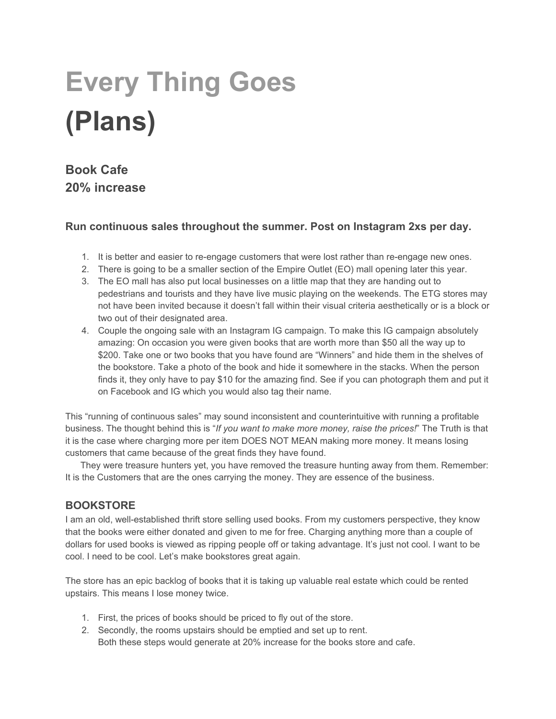# **Every Thing Goes (Plans)**

## **Book Cafe 20% increase**

#### **Run continuous sales throughout the summer. Post on Instagram 2xs per day.**

- 1. It is better and easier to re-engage customers that were lost rather than re-engage new ones.
- 2. There is going to be a smaller section of the Empire Outlet (EO) mall opening later this year.
- 3. The EO mall has also put local businesses on a little map that they are handing out to pedestrians and tourists and they have live music playing on the weekends. The ETG stores may not have been invited because it doesn't fall within their visual criteria aesthetically or is a block or two out of their designated area.
- 4. Couple the ongoing sale with an Instagram IG campaign. To make this IG campaign absolutely amazing: On occasion you were given books that are worth more than \$50 all the way up to \$200. Take one or two books that you have found are "Winners" and hide them in the shelves of the bookstore. Take a photo of the book and hide it somewhere in the stacks. When the person finds it, they only have to pay \$10 for the amazing find. See if you can photograph them and put it on Facebook and IG which you would also tag their name.

This "running of continuous sales" may sound inconsistent and counterintuitive with running a profitable business. The thought behind this is "*If you want to make more money, raise the prices!*" The Truth is that it is the case where charging more per item DOES NOT MEAN making more money. It means losing customers that came because of the great finds they have found.

They were treasure hunters yet, you have removed the treasure hunting away from them. Remember: It is the Customers that are the ones carrying the money. They are essence of the business.

#### **BOOKSTORE**

I am an old, well-established thrift store selling used books. From my customers perspective, they know that the books were either donated and given to me for free. Charging anything more than a couple of dollars for used books is viewed as ripping people off or taking advantage. It's just not cool. I want to be cool. I need to be cool. Let's make bookstores great again.

The store has an epic backlog of books that it is taking up valuable real estate which could be rented upstairs. This means I lose money twice.

- 1. First, the prices of books should be priced to fly out of the store.
- 2. Secondly, the rooms upstairs should be emptied and set up to rent. Both these steps would generate at 20% increase for the books store and cafe.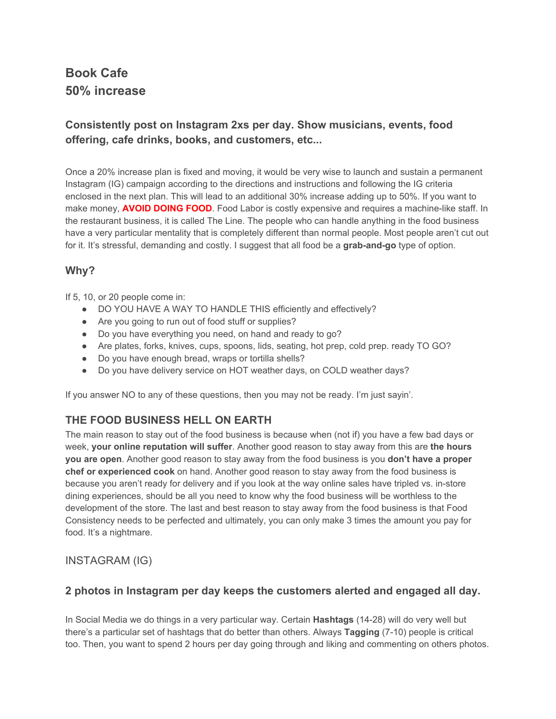## **Book Cafe 50% increase**

#### **Consistently post on Instagram 2xs per day. Show musicians, events, food offering, cafe drinks, books, and customers, etc...**

Once a 20% increase plan is fixed and moving, it would be very wise to launch and sustain a permanent Instagram (IG) campaign according to the directions and instructions and following the IG criteria enclosed in the next plan. This will lead to an additional 30% increase adding up to 50%. If you want to make money, **AVOID DOING FOOD**. Food Labor is costly expensive and requires a machine-like staff. In the restaurant business, it is called The Line. The people who can handle anything in the food business have a very particular mentality that is completely different than normal people. Most people aren't cut out for it. It's stressful, demanding and costly. I suggest that all food be a **grab-and-go** type of option.

#### **Why?**

If 5, 10, or 20 people come in:

- DO YOU HAVE A WAY TO HANDLE THIS efficiently and effectively?
- Are you going to run out of food stuff or supplies?
- Do you have everything you need, on hand and ready to go?
- Are plates, forks, knives, cups, spoons, lids, seating, hot prep, cold prep. ready TO GO?
- Do you have enough bread, wraps or tortilla shells?
- Do you have delivery service on HOT weather days, on COLD weather days?

If you answer NO to any of these questions, then you may not be ready. I'm just sayin'.

#### **THE FOOD BUSINESS HELL ON EARTH**

The main reason to stay out of the food business is because when (not if) you have a few bad days or week, **your online reputation will suffer**. Another good reason to stay away from this are **the hours you are open**. Another good reason to stay away from the food business is you **don't have a proper chef or experienced cook** on hand. Another good reason to stay away from the food business is because you aren't ready for delivery and if you look at the way online sales have tripled vs. in-store dining experiences, should be all you need to know why the food business will be worthless to the development of the store. The last and best reason to stay away from the food business is that Food Consistency needs to be perfected and ultimately, you can only make 3 times the amount you pay for food. It's a nightmare.

#### INSTAGRAM (IG)

#### **2 photos in Instagram per day keeps the customers alerted and engaged all day.**

In Social Media we do things in a very particular way. Certain **Hashtags** (14-28) will do very well but there's a particular set of hashtags that do better than others. Always **Tagging** (7-10) people is critical too. Then, you want to spend 2 hours per day going through and liking and commenting on others photos.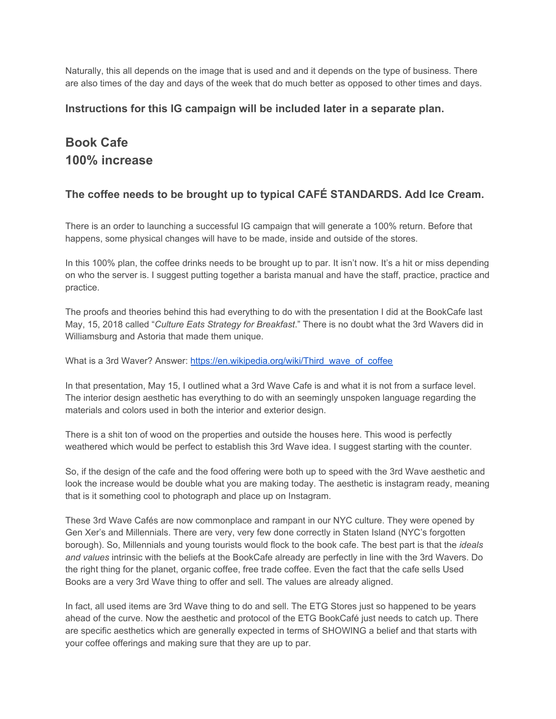Naturally, this all depends on the image that is used and and it depends on the type of business. There are also times of the day and days of the week that do much better as opposed to other times and days.

#### **Instructions for this IG campaign will be included later in a separate plan.**

### **Book Cafe 100% increase**

#### **The coffee needs to be brought up to typical CAFÉ STANDARDS. Add Ice Cream.**

There is an order to launching a successful IG campaign that will generate a 100% return. Before that happens, some physical changes will have to be made, inside and outside of the stores.

In this 100% plan, the coffee drinks needs to be brought up to par. It isn't now. It's a hit or miss depending on who the server is. I suggest putting together a barista manual and have the staff, practice, practice and practice.

The proofs and theories behind this had everything to do with the presentation I did at the BookCafe last May, 15, 2018 called "*Culture Eats Strategy for Breakfast*." There is no doubt what the 3rd Wavers did in Williamsburg and Astoria that made them unique.

What is a 3rd Waver? Answer: [https://en.wikipedia.org/wiki/Third\\_wave\\_of\\_coffee](https://en.wikipedia.org/wiki/Third_wave_of_coffee)

In that presentation, May 15, I outlined what a 3rd Wave Cafe is and what it is not from a surface level. The interior design aesthetic has everything to do with an seemingly unspoken language regarding the materials and colors used in both the interior and exterior design.

There is a shit ton of wood on the properties and outside the houses here. This wood is perfectly weathered which would be perfect to establish this 3rd Wave idea. I suggest starting with the counter.

So, if the design of the cafe and the food offering were both up to speed with the 3rd Wave aesthetic and look the increase would be double what you are making today. The aesthetic is instagram ready, meaning that is it something cool to photograph and place up on Instagram.

These 3rd Wave Cafés are now commonplace and rampant in our NYC culture. They were opened by Gen Xer's and Millennials. There are very, very few done correctly in Staten Island (NYC's forgotten borough). So, Millennials and young tourists would flock to the book cafe. The best part is that the *ideals and values* intrinsic with the beliefs at the BookCafe already are perfectly in line with the 3rd Wavers. Do the right thing for the planet, organic coffee, free trade coffee. Even the fact that the cafe sells Used Books are a very 3rd Wave thing to offer and sell. The values are already aligned.

In fact, all used items are 3rd Wave thing to do and sell. The ETG Stores just so happened to be years ahead of the curve. Now the aesthetic and protocol of the ETG BookCafé just needs to catch up. There are specific aesthetics which are generally expected in terms of SHOWING a belief and that starts with your coffee offerings and making sure that they are up to par.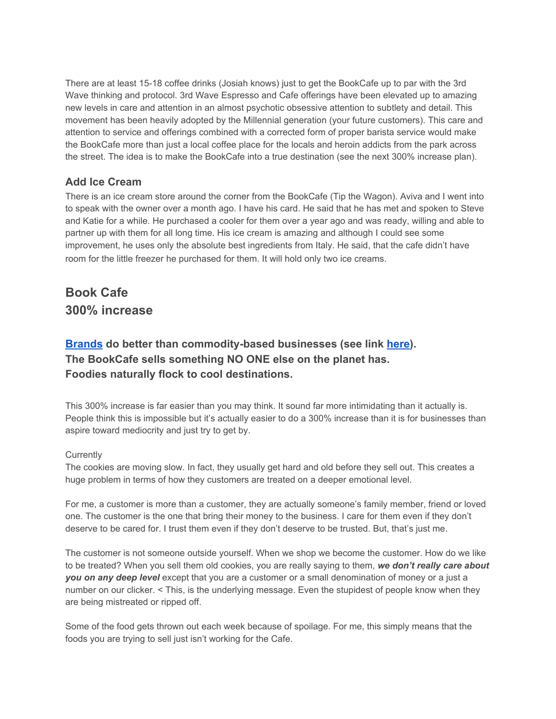There are at least 15-18 coffee drinks (Josiah knows) just to get the BookCafe up to par with the 3rd Wave thinking and protocol. 3rd Wave Espresso and Cafe offerings have been elevated up to amazing new levels in care and attention in an almost psychotic obsessive attention to subtlety and detail. This movement has been heavily adopted by the Millennial generation (your future customers). This care and attention to service and offerings combined with a corrected form of proper barista service would make the BookCafe more than just a local coffee place for the locals and heroin addicts from the park across the street. The idea is to make the BookCafe into a true destination (see the next 300% increase plan).

#### **Add Ice Cream**

There is an ice cream store around the corner from the BookCafe (Tip the Wagon). Aviva and I went into to speak with the owner over a month ago. I have his card. He said that he has met and spoken to Steve and Katie for a while. He purchased a cooler for them over a year ago and was ready, willing and able to partner up with them for all long time. His ice cream is amazing and although I could see some improvement, he uses only the absolute best ingredients from Italy. He said, that the cafe didn't have room for the little freezer he purchased for them. It will hold only two ice creams.

## **Book Cafe 300% increase**

#### **[Brands](https://binknyc.com/whats-a-brand/) do better than commodity-based businesses (see link [here](https://binknyc.files.wordpress.com/2018/01/brand-vs-commodity.pdf)). The BookCafe sells something NO ONE else on the planet has. Foodies naturally flock to cool destinations.**

This 300% increase is far easier than you may think. It sound far more intimidating than it actually is. People think this is impossible but it's actually easier to do a 300% increase than it is for businesses than aspire toward mediocrity and just try to get by.

#### **Currently**

The cookies are moving slow. In fact, they usually get hard and old before they sell out. This creates a huge problem in terms of how they customers are treated on a deeper emotional level.

For me, a customer is more than a customer, they are actually someone's family member, friend or loved one. The customer is the one that bring their money to the business. I care for them even if they don't deserve to be cared for. I trust them even if they don't deserve to be trusted. But, that's just me.

The customer is not someone outside yourself. When we shop we become the customer. How do we like to be treated? When you sell them old cookies, you are really saying to them, *we don't really care about you on any deep level* except that you are a customer or a small denomination of money or a just a number on our clicker. < This, is the underlying message. Even the stupidest of people know when they are being mistreated or ripped off.

Some of the food gets thrown out each week because of spoilage. For me, this simply means that the foods you are trying to sell just isn't working for the Cafe.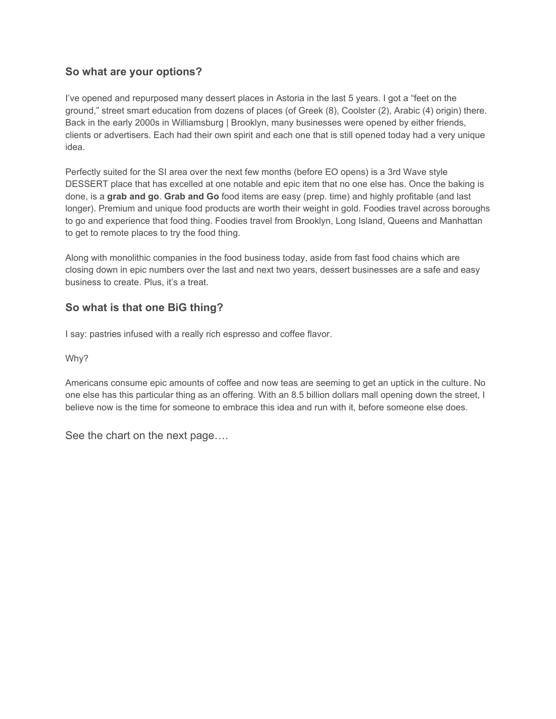#### **So what are your options?**

I've opened and repurposed many dessert places in Astoria in the last 5 years. I got a "feet on the ground," street smart education from dozens of places (of Greek (8), Coolster (2), Arabic (4) origin) there. Back in the early 2000s in Williamsburg | Brooklyn, many businesses were opened by either friends, clients or advertisers. Each had their own spirit and each one that is still opened today had a very unique idea.

Perfectly suited for the SI area over the next few months (before EO opens) is a 3rd Wave style DESSERT place that has excelled at one notable and epic item that no one else has. Once the baking is done, is a **grab and go**. **Grab and Go** food items are easy (prep. time) and highly profitable (and last longer). Premium and unique food products are worth their weight in gold. Foodies travel across boroughs to go and experience that food thing. Foodies travel from Brooklyn, Long Island, Queens and Manhattan to get to remote places to try the food thing.

Along with monolithic companies in the food business today, aside from fast food chains which are closing down in epic numbers over the last and next two years, dessert businesses are a safe and easy business to create. Plus, it's a treat.

#### **So what is that one BiG thing?**

I say: pastries infused with a really rich espresso and coffee flavor.

Why?

Americans consume epic amounts of coffee and now teas are seeming to get an uptick in the culture. No one else has this particular thing as an offering. With an 8.5 billion dollars mall opening down the street, I believe now is the time for someone to embrace this idea and run with it, before someone else does.

See the chart on the next page….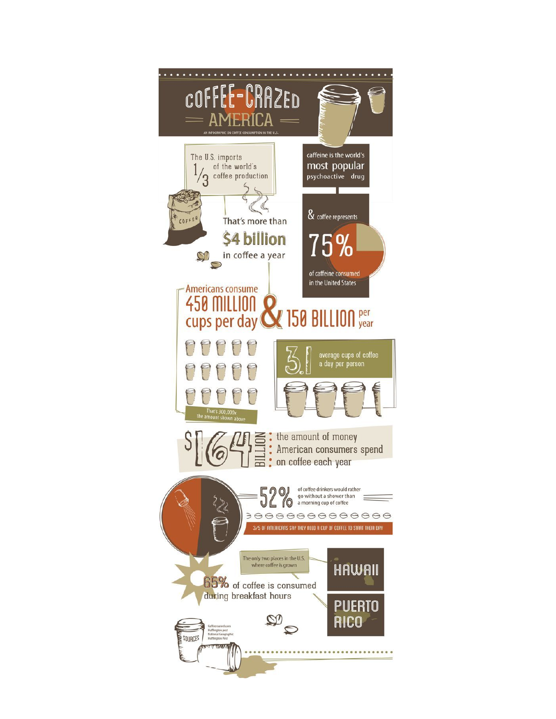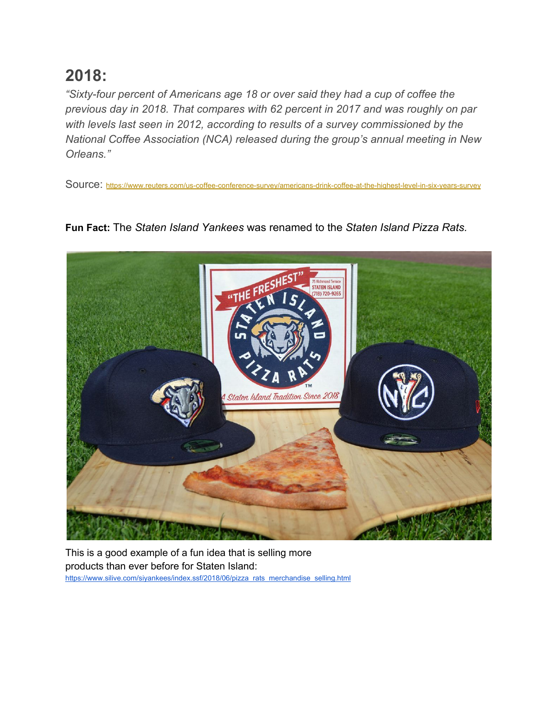## **2018:**

*"Sixty-four percent of Americans age 18 or over said they had a cup of coffee the previous day in 2018. That compares with 62 percent in 2017 and was roughly on par with levels last seen in 2012, according to results of a survey commissioned by the National Coffee Association (NCA) released during the group's annual meeting in New Orleans."*

Source: [https://www.reuters.com/us-coffee-conference-survey/americans-drink-coffee-at-the-highest-level-in-six-years-survey](https://www.reuters.com/article/us-coffee-conference-survey/americans-are-drinking-a-daily-cup-of-coffee-at-the-highest-level-in-six-years-survey-idUSKCN1GT0KU)



**Fun Fact:** The *Staten Island Yankees* was renamed to the *Staten Island Pizza Rats[.](https://www.reuters.com/article/us-coffee-conference-survey/americans-are-drinking-a-daily-cup-of-coffee-at-the-highest-level-in-six-years-survey-idUSKCN1GT0KU)*

This is a good example of a fun idea that is selling more products than ever before for Staten Island: [https://www.silive.com/siyankees/index.ssf/2018/06/pizza\\_rats\\_merchandise\\_selling.html](https://www.silive.com/siyankees/index.ssf/2018/06/pizza_rats_merchandise_selling.html)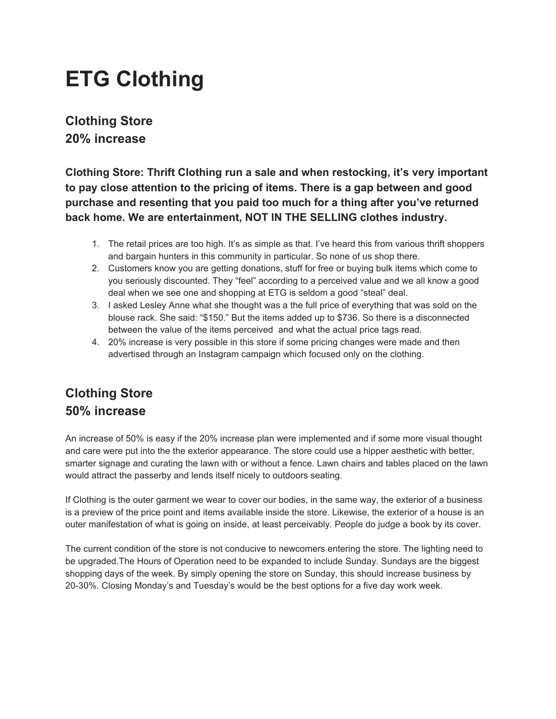## **ETG Clothing**

### **Clothing Store 20% increase**

**Clothing Store: Thrift Clothing run a sale and when restocking, it's very important to pay close attention to the pricing of items. There is a gap between and good purchase and resenting that you paid too much for a thing after you've returned back home. We are entertainment, NOT IN THE SELLING clothes industry.**

- 1. The retail prices are too high. It's as simple as that. I've heard this from various thrift shoppers and bargain hunters in this community in particular. So none of us shop there.
- 2. Customers know you are getting donations, stuff for free or buying bulk items which come to you seriously discounted. They "feel" according to a perceived value and we all know a good deal when we see one and shopping at ETG is seldom a good "steal" deal.
- 3. I asked Lesley Anne what she thought was a the full price of everything that was sold on the blouse rack. She said: "\$150." But the items added up to \$736. So there is a disconnected between the value of the items perceived and what the actual price tags read.
- 4. 20% increase is very possible in this store if some pricing changes were made and then advertised through an Instagram campaign which focused only on the clothing.

## **Clothing Store 50% increase**

An increase of 50% is easy if the 20% increase plan were implemented and if some more visual thought and care were put into the the exterior appearance. The store could use a hipper aesthetic with better, smarter signage and curating the lawn with or without a fence. Lawn chairs and tables placed on the lawn would attract the passerby and lends itself nicely to outdoors seating.

If Clothing is the outer garment we wear to cover our bodies, in the same way, the exterior of a business is a preview of the price point and items available inside the store. Likewise, the exterior of a house is an outer manifestation of what is going on inside, at least perceivably. People do judge a book by its cover.

The current condition of the store is not conducive to newcomers entering the store. The lighting need to be upgraded.The Hours of Operation need to be expanded to include Sunday. Sundays are the biggest shopping days of the week. By simply opening the store on Sunday, this should increase business by 20-30%. Closing Monday's and Tuesday's would be the best options for a five day work week.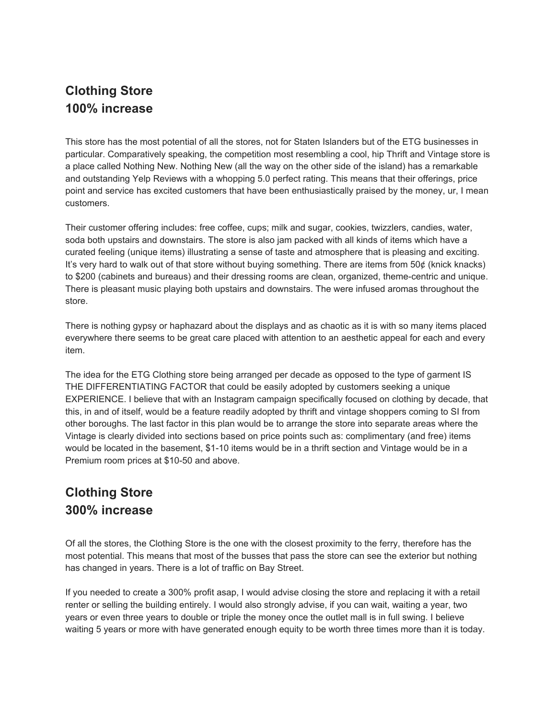## **Clothing Store 100% increase**

This store has the most potential of all the stores, not for Staten Islanders but of the ETG businesses in particular. Comparatively speaking, the competition most resembling a cool, hip Thrift and Vintage store is a place called Nothing New. Nothing New (all the way on the other side of the island) has a remarkable and outstanding Yelp Reviews with a whopping 5.0 perfect rating. This means that their offerings, price point and service has excited customers that have been enthusiastically praised by the money, ur, I mean customers.

Their customer offering includes: free coffee, cups; milk and sugar, cookies, twizzlers, candies, water, soda both upstairs and downstairs. The store is also jam packed with all kinds of items which have a curated feeling (unique items) illustrating a sense of taste and atmosphere that is pleasing and exciting. It's very hard to walk out of that store without buying something. There are items from 50¢ (knick knacks) to \$200 (cabinets and bureaus) and their dressing rooms are clean, organized, theme-centric and unique. There is pleasant music playing both upstairs and downstairs. The were infused aromas throughout the store.

There is nothing gypsy or haphazard about the displays and as chaotic as it is with so many items placed everywhere there seems to be great care placed with attention to an aesthetic appeal for each and every item.

The idea for the ETG Clothing store being arranged per decade as opposed to the type of garment IS THE DIFFERENTIATING FACTOR that could be easily adopted by customers seeking a unique EXPERIENCE. I believe that with an Instagram campaign specifically focused on clothing by decade, that this, in and of itself, would be a feature readily adopted by thrift and vintage shoppers coming to SI from other boroughs. The last factor in this plan would be to arrange the store into separate areas where the Vintage is clearly divided into sections based on price points such as: complimentary (and free) items would be located in the basement, \$1-10 items would be in a thrift section and Vintage would be in a Premium room prices at \$10-50 and above.

## **Clothing Store 300% increase**

Of all the stores, the Clothing Store is the one with the closest proximity to the ferry, therefore has the most potential. This means that most of the busses that pass the store can see the exterior but nothing has changed in years. There is a lot of traffic on Bay Street.

If you needed to create a 300% profit asap, I would advise closing the store and replacing it with a retail renter or selling the building entirely. I would also strongly advise, if you can wait, waiting a year, two years or even three years to double or triple the money once the outlet mall is in full swing. I believe waiting 5 years or more with have generated enough equity to be worth three times more than it is today.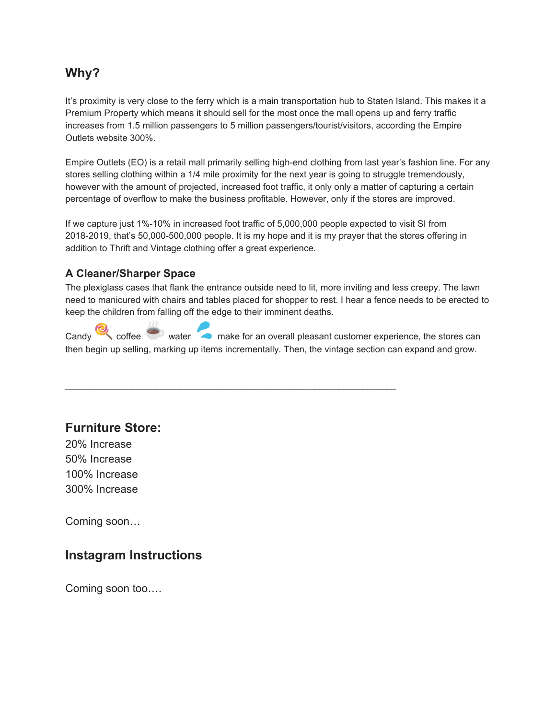#### **Why?**

It's proximity is very close to the ferry which is a main transportation hub to Staten Island. This makes it a Premium Property which means it should sell for the most once the mall opens up and ferry traffic increases from 1.5 million passengers to 5 million passengers/tourist/visitors, according the Empire Outlets website 300%.

Empire Outlets (EO) is a retail mall primarily selling high-end clothing from last year's fashion line. For any stores selling clothing within a 1/4 mile proximity for the next year is going to struggle tremendously, however with the amount of projected, increased foot traffic, it only only a matter of capturing a certain percentage of overflow to make the business profitable. However, only if the stores are improved.

If we capture just 1%-10% in increased foot traffic of 5,000,000 people expected to visit SI from 2018-2019, that's 50,000-500,000 people. It is my hope and it is my prayer that the stores offering in addition to Thrift and Vintage clothing offer a great experience.

#### **A Cleaner/Sharper Space**

The plexiglass cases that flank the entrance outside need to lit, more inviting and less creepy. The lawn need to manicured with chairs and tables placed for shopper to rest. I hear a fence needs to be erected to keep the children from falling off the edge to their imminent deaths.

Candy coffee water make for an overall pleasant customer experience, the stores can then begin up selling, marking up items incrementally. Then, the vintage section can expand and grow.

 $\mathcal{L}_\mathcal{L} = \mathcal{L}_\mathcal{L} = \mathcal{L}_\mathcal{L} = \mathcal{L}_\mathcal{L} = \mathcal{L}_\mathcal{L} = \mathcal{L}_\mathcal{L} = \mathcal{L}_\mathcal{L} = \mathcal{L}_\mathcal{L} = \mathcal{L}_\mathcal{L} = \mathcal{L}_\mathcal{L} = \mathcal{L}_\mathcal{L} = \mathcal{L}_\mathcal{L} = \mathcal{L}_\mathcal{L} = \mathcal{L}_\mathcal{L} = \mathcal{L}_\mathcal{L} = \mathcal{L}_\mathcal{L} = \mathcal{L}_\mathcal{L}$  $\mathcal{L}_\mathcal{L} = \mathcal{L}_\mathcal{L} = \mathcal{L}_\mathcal{L} = \mathcal{L}_\mathcal{L} = \mathcal{L}_\mathcal{L} = \mathcal{L}_\mathcal{L} = \mathcal{L}_\mathcal{L} = \mathcal{L}_\mathcal{L} = \mathcal{L}_\mathcal{L} = \mathcal{L}_\mathcal{L} = \mathcal{L}_\mathcal{L} = \mathcal{L}_\mathcal{L} = \mathcal{L}_\mathcal{L} = \mathcal{L}_\mathcal{L} = \mathcal{L}_\mathcal{L} = \mathcal{L}_\mathcal{L} = \mathcal{L}_\mathcal{L}$  $\mathcal{L}_\mathcal{L} = \mathcal{L}_\mathcal{L} = \mathcal{L}_\mathcal{L} = \mathcal{L}_\mathcal{L} = \mathcal{L}_\mathcal{L} = \mathcal{L}_\mathcal{L} = \mathcal{L}_\mathcal{L} = \mathcal{L}_\mathcal{L} = \mathcal{L}_\mathcal{L} = \mathcal{L}_\mathcal{L} = \mathcal{L}_\mathcal{L} = \mathcal{L}_\mathcal{L} = \mathcal{L}_\mathcal{L} = \mathcal{L}_\mathcal{L} = \mathcal{L}_\mathcal{L} = \mathcal{L}_\mathcal{L} = \mathcal{L}_\mathcal{L}$ 

#### **Furniture Store:**

20% Increase 50% Increase 100% Increase 300% Increase

Coming soon…

#### **Instagram Instructions**

Coming soon too….